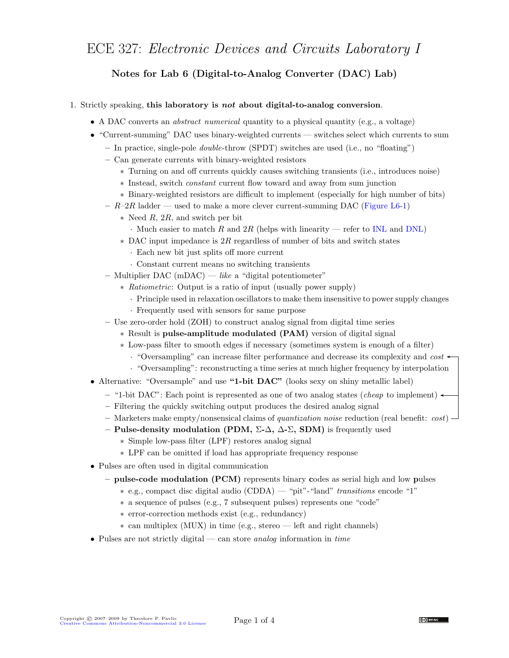## ECE 327: Electronic Devices and Circuits Laboratory I

## Notes for Lab 6 (Digital-to-Analog Converter (DAC) Lab)

## 1. Strictly speaking, this laboratory is not about digital-to-analog conversion.

- A DAC converts an *abstract numerical* quantity to a physical quantity (e.g., a voltage)
- "Current-summing" DAC uses binary-weighted currents switches select which currents to sum
	- $-$  In practice, single-pole *double*-throw (SPDT) switches are used (i.e., no "floating")
	- Can generate currents with binary-weighted resistors
		- ∗ Turning on and off currents quickly causes switching transients (i.e., introduces noise)
		- ∗ Instead, switch constant current flow toward and away from sum junction
		- ∗ Binary-weighted resistors are difficult to implement (especially for high number of bits)
	- $-$  R–2R ladder used to make a more clever current-summing DAC [\(Figure L6-1\)](#page-2-0)
		- ∗ Need R, 2R, and switch per bit
			- $\cdot$  Much easier to match R and  $2R$  (helps with linearity refer to [INL](http://en.wikipedia.org/wiki/Integral_nonlinearity) and [DNL\)](http://en.wikipedia.org/wiki/Differential_nonlinearity)
		- $*$  DAC input impedance is 2R regardless of number of bits and switch states
			- · Each new bit just splits off more current
			- · Constant current means no switching transients
	- Multiplier DAC (mDAC) like a "digital potentiometer"
		- ∗ Ratiometric: Output is a ratio of input (usually power supply)
			- · Principle used in relaxation oscillators to make them insensitive to power supply changes
			- · Frequently used with sensors for same purpose
	- Use zero-order hold (ZOH) to construct analog signal from digital time series
		- ∗ Result is pulse-amplitude modulated (PAM) version of digital signal
		- ∗ Low-pass filter to smooth edges if necessary (sometimes system is enough of a filter)
			- $\cdot$  "Oversampling" can increase filter performance and decrease its complexity and cost  $\triangleleft$
			- · "Oversampling": reconstructing a time series at much higher frequency by interpolation
- Alternative: "Oversample" and use "1-bit DAC" (looks sexy on shiny metallic label)
	- "1-bit DAC": Each point is represented as one of two analog states (*cheap* to implement)
	- Filtering the quickly switching output produces the desired analog signal
	- $-$  Marketers make empty/nonsensical claims of *quantization noise* reduction (real benefit: *cost*) -
	- Pulse-density modulation (PDM,  $\Sigma$ - $\Delta$ ,  $\Delta$ - $\Sigma$ , SDM) is frequently used
		- ∗ Simple low-pass filter (LPF) restores analog signal
		- ∗ LPF can be omitted if load has appropriate frequency response
- Pulses are often used in digital communication
	- pulse-code modulation (PCM) represents binary codes as serial high and low pulses
		- ∗ e.g., compact disc digital audio (CDDA) "pit"-"land" transitions encode "1"
		- ∗ a sequence of pulses (e.g., 7 subsequent pulses) represents one "code"
		- ∗ error-correction methods exist (e.g., redundancy)
		- ∗ can multiplex (MUX) in time (e.g., stereo left and right channels)
- Pulses are not strictly digital can store *analog* information in *time*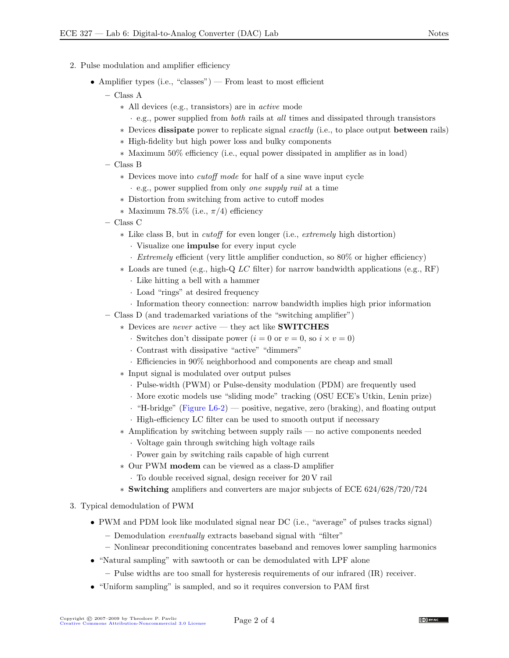- 2. Pulse modulation and amplifier efficiency
	- Amplifier types (i.e., "classes") From least to most efficient
		- Class A
			- ∗ All devices (e.g., transistors) are in active mode
				- $\cdot$  e.g., power supplied from *both* rails at *all* times and dissipated through transistors
			- ∗ Devices dissipate power to replicate signal exactly (i.e., to place output between rails)
			- ∗ High-fidelity but high power loss and bulky components
			- ∗ Maximum 50% efficiency (i.e., equal power dissipated in amplifier as in load)
		- Class B
			- ∗ Devices move into cutoff mode for half of a sine wave input cycle
				- · e.g., power supplied from only one supply rail at a time
			- ∗ Distortion from switching from active to cutoff modes
			- ∗ Maximum 78.5% (i.e., π/4) efficiency
		- Class C
			- ∗ Like class B, but in cutoff for even longer (i.e., extremely high distortion)
				- · Visualize one impulse for every input cycle
				- $\cdot$  *Extremely* efficient (very little amplifier conduction, so 80% or higher efficiency)
			- ∗ Loads are tuned (e.g., high-Q LC filter) for narrow bandwidth applications (e.g., RF)
				- · Like hitting a bell with a hammer
				- · Load "rings" at desired frequency
				- · Information theory connection: narrow bandwidth implies high prior information
		- Class D (and trademarked variations of the "switching amplifier")
			- ∗ Devices are never active they act like SWITCHES
				- · Switches don't dissipate power  $(i = 0 \text{ or } v = 0, \text{ so } i \times v = 0)$
				- · Contrast with dissipative "active" "dimmers"
				- · Efficiencies in 90% neighborhood and components are cheap and small
			- ∗ Input signal is modulated over output pulses
				- · Pulse-width (PWM) or Pulse-density modulation (PDM) are frequently used
				- · More exotic models use "sliding mode" tracking (OSU ECE's Utkin, Lenin prize)
				- $\cdot$  "H-bridge" [\(Figure L6-2\)](#page-2-1) positive, negative, zero (braking), and floating output
				- · High-efficiency LC filter can be used to smooth output if necessary
			- ∗ Amplification by switching between supply rails no active components needed
				- · Voltage gain through switching high voltage rails
				- · Power gain by switching rails capable of high current
			- ∗ Our PWM modem can be viewed as a class-D amplifier
				- · To double received signal, design receiver for 20 V rail
			- ∗ Switching amplifiers and converters are major subjects of ECE 624/628/720/724

## 3. Typical demodulation of PWM

- PWM and PDM look like modulated signal near DC (i.e., "average" of pulses tracks signal)
	- Demodulation eventually extracts baseband signal with "filter"
	- Nonlinear preconditioning concentrates baseband and removes lower sampling harmonics
- $\bullet \,$  "Natural sampling" with sawtooth or can be demodulated with LPF alone
	- Pulse widths are too small for hysteresis requirements of our infrared (IR) receiver.
- "Uniform sampling" is sampled, and so it requires conversion to PAM first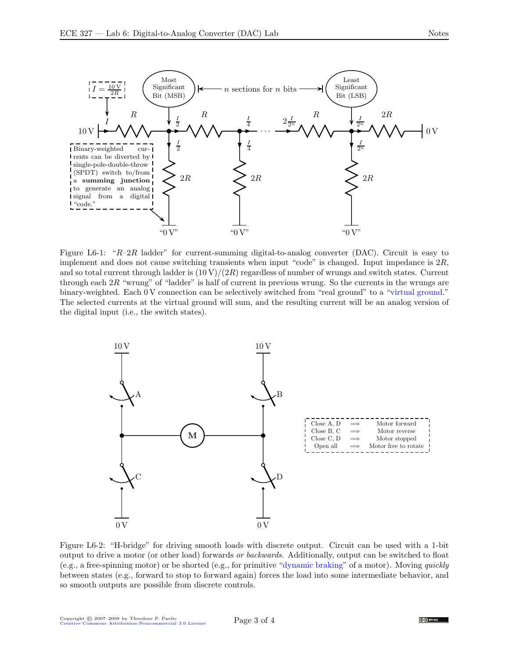

<span id="page-2-0"></span>Figure L6-1: " $R-2R$  ladder" for current-summing digital-to-analog converter (DAC). Circuit is easy to implement and does not cause switching transients when input "code" is changed. Input impedance is 2R, and so total current through ladder is  $(10 \text{ V})/(2R)$  regardless of number of wrungs and switch states. Current through each  $2R$  "wrung" of "ladder" is half of current in previous wrung. So the currents in the wrungs are binary-weighted. Each 0 V connection can be selectively switched from "real ground" to a ["virtual ground.](http://en.wikipedia.org/wiki/Virtual_ground)" The selected currents at the virtual ground will sum, and the resulting current will be an analog version of the digital input (i.e., the switch states).



<span id="page-2-1"></span>Figure L6-2: "H-bridge" for driving smooth loads with discrete output. Circuit can be used with a 1-bit output to drive a motor (or other load) forwards or backwards. Additionally, output can be switched to float (e.g., a free-spinning motor) or be shorted (e.g., for primitive ["dynamic braking"](http://en.wikipedia.org/wiki/Dynamic_braking) of a motor). Moving quickly between states (e.g., forward to stop to forward again) forces the load into some intermediate behavior, and so smooth outputs are possible from discrete controls.